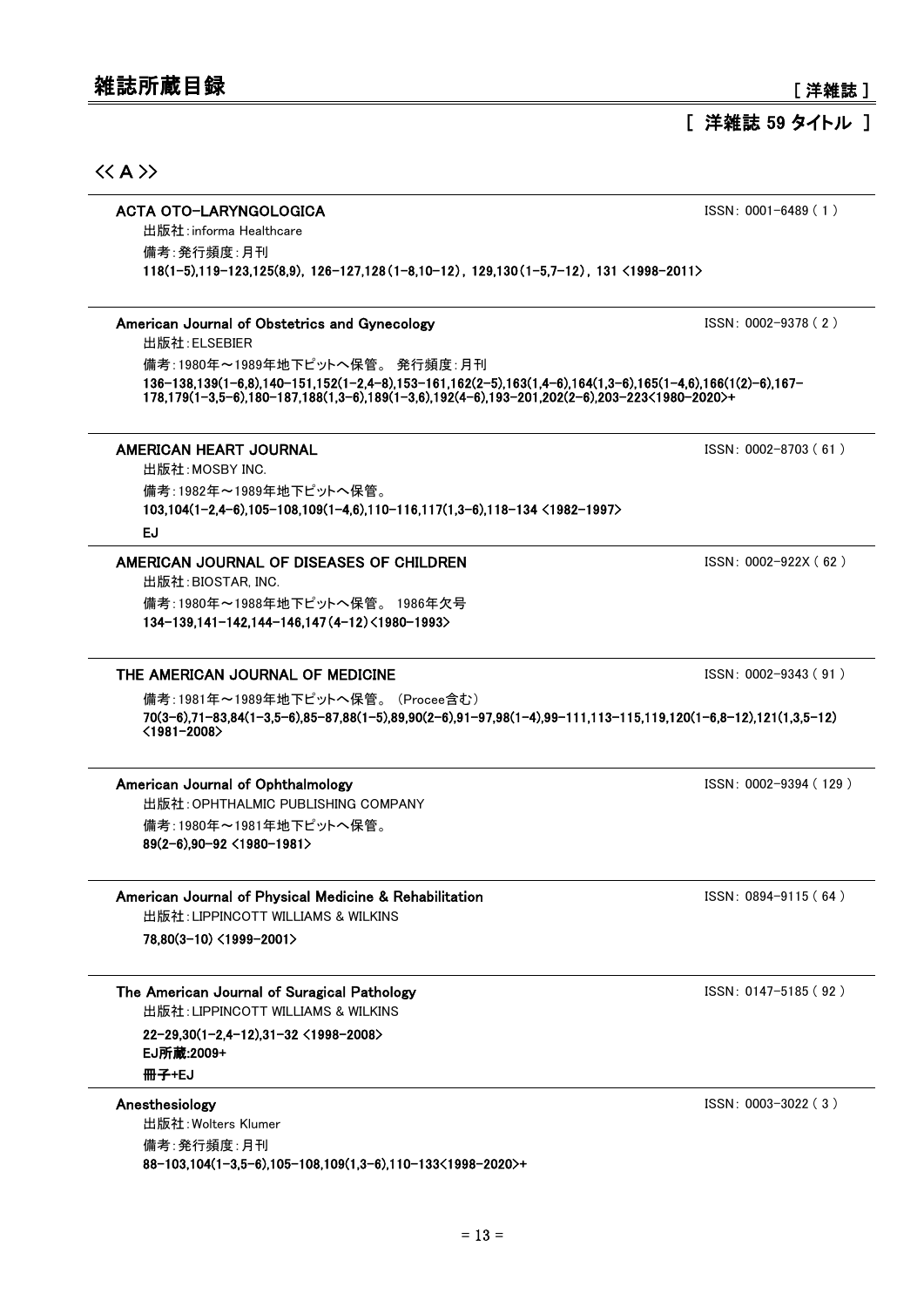## [ 洋雑誌 59 タイトル ]

## $\langle\langle A \rangle\rangle$

#### ACTA OTO-LARYNGOLOGICA issn: 0001-6489 (1) 出版社:informa Healthcare

118(1-5),119-123,125(8,9),126-127,128(1-8,10-12),129,130(1-5,7-12),131 <1998-2011> 備考:発行頻度:月刊

#### American Journal of Obstetrics and Gynecology **ISSN: 0002-9378 (2)** ISSN: 0002-9378 (2)

出版社:ELSEBIER

136-138,139(1-6,8),140-151,152(1-2,4-8),153-161,162(2-5),163(1,4-6),164(1,3-6),165(1-4,6),166(1(2)-6),167- 178,179(1-3,5-6),180-187,188(1,3-6),189(1-3,6),192(4-6),193-201,202(2-6),203-223<1980-2020>+ 備考:1980年~1989年地下ピットへ保管。 発行頻度:月刊

#### AMERICAN HEART JOURNAL **ISSN: 0002-8703 (61 )** and the state of the state of the state of the state of the state of the state of the state of the state of the state of the state of the state of the state of the state of th

103,104(1-2,4-6),105-108,109(1-4,6),110-116,117(1,3-6),118-134 <1982-1997> 出版社:MOSBY INC. 備考:1982年~1989年地下ピットへ保管。

#### EJ

#### AMERICAN JOURNAL OF DISEASES OF CHILDREN ISSN: 0002-922X (62)

134-139,141-142,144-146,147(4-12)<1980-1993> 出版社:BIOSTAR, INC. 備考:1980年~1988年地下ピットへ保管。 1986年欠号

#### THE AMERICAN JOURNAL OF MEDICINE ISSN: 0002-9343 (91)

70(3-6),71-83,84(1-3,5-6),85-87,88(1-5),89,90(2-6),91-97,98(1-4),99-111,113-115,119,120(1-6,8-12),121(1,3,5-12) <1981-2008> 備考:1981年~1989年地下ピットへ保管。 (Procee含む)

### American Journal of Ophthalmology **ISSN: 0002-9394 (129)** ISSN: 0002-9394 (129)

89(2-6),90-92 <1980-1981> 出版社:OPHTHALMIC PUBLISHING COMPANY 備考:1980年~1981年地下ピットへ保管。

### American Journal of Physical Medicine & Rehabilitation **ISSN: 0894-9115 (64)** ISSN: 0894-9115 (64)

78,80(3-10) <1999-2001> 出版社:LIPPINCOTT WILLIAMS & WILKINS

### The American Journal of Suragical Pathology **ISSN: 0147-5185 (92)** ISSN: 0147-5185 (92)

出版社:LIPPINCOTT WILLIAMS & WILKINS

22-29,30(1-2,4-12),31-32 <1998-2008> 冊子+EJ EJ所蔵:2009+

88-103,104(1-3,5-6),105-108,109(1,3-6),110-133<1998-2020>+ 出版社:Wolters Klumer 備考:発行頻度:月刊

Anesthesiology **ISSN: 0003-3022 ( 3 )**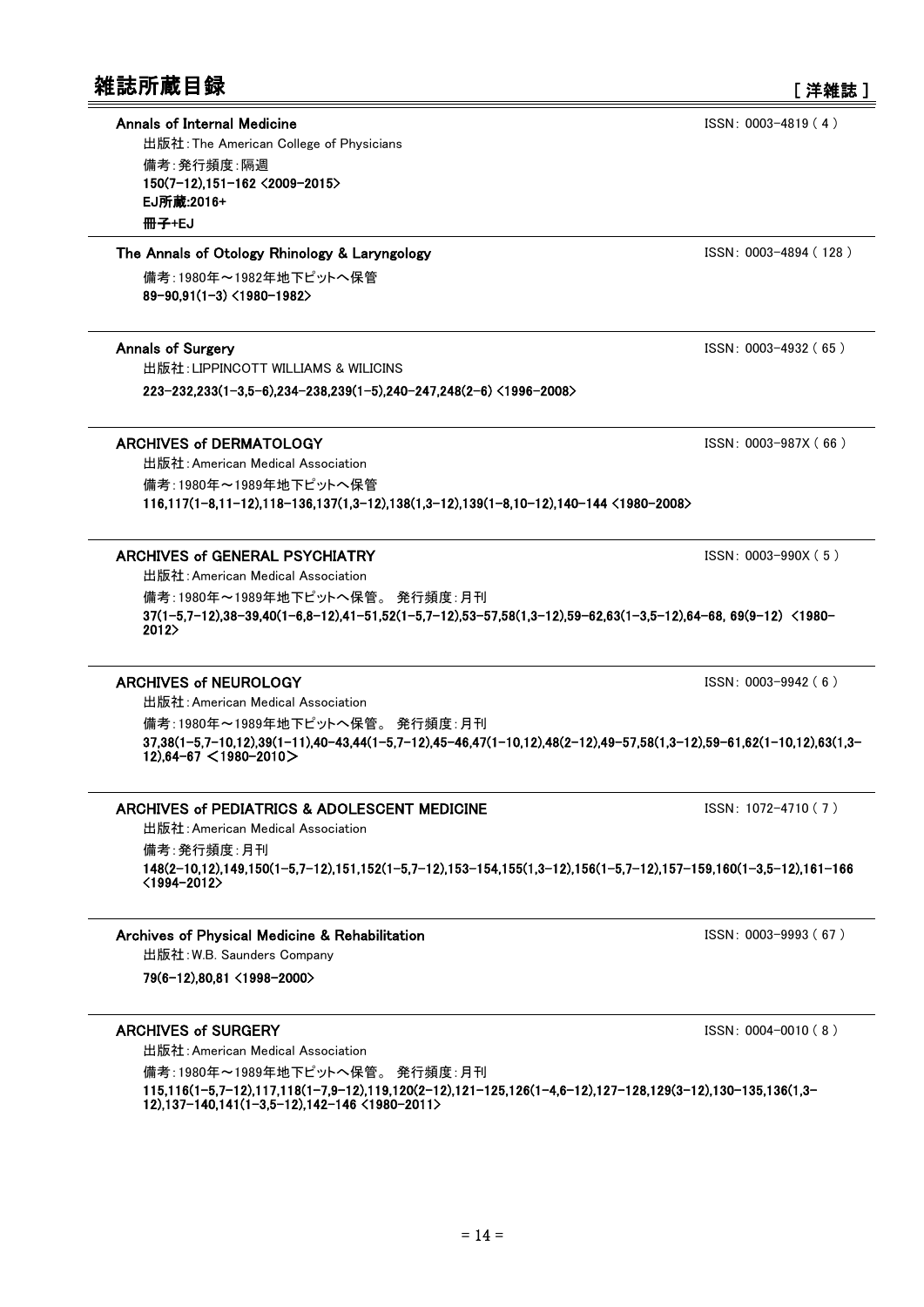### Annals of Internal Medicine ISSN: 0003-4819 (4)

150(7-12),151-162 <2009-2015> 出版社:The American College of Physicians 備考:発行頻度:隔週 冊子+EJ EJ所蔵:2016+

#### The Annals of Otology Rhinology & Laryngology ISSN: 0003-4894 (128)

89-90,91(1-3) <1980-1982> 備考:1980年~1982年地下ピットへ保管

出版社:LIPPINCOTT WILLIAMS & WILICINS

223-232,233(1-3,5-6),234-238,239(1-5),240-247,248(2-6) <1996-2008>

### ARCHIVES of DERMATOLOGY **ISSN: 0003-987X (66)**

116,117(1-8,11-12),118-136,137(1,3-12),138(1,3-12),139(1-8,10-12),140-144 <1980-2008> 出版社:American Medical Association 備考:1980年~1989年地下ピットへ保管

### ARCHIVES of GENERAL PSYCHIATRY **ISSN:** 0003-990X (5)

出版社:American Medical Association

37(1-5,7-12),38-39,40(1-6,8-12),41-51,52(1-5,7-12),53-57,58(1,3-12),59-62,63(1-3,5-12),64-68, 69(9-12) <1980- 2012> 備考:1980年~1989年地下ピットへ保管。 発行頻度:月刊

### ARCHIVES of NEUROLOGY **ISSN:** 0003-9942 ( 6 )

37,38(1-5,7-10,12),39(1-11),40-43,44(1-5,7-12),45-46,47(1-10,12),48(2-12),49-57,58(1,3-12),59-61,62(1-10,12),63(1,3- 12),64-67 <1980-2010> 出版社:American Medical Association 備考:1980年~1989年地下ピットへ保管。 発行頻度:月刊

### ARCHIVES of PEDIATRICS & ADOLESCENT MEDICINE ISSN: 1072-4710 (7)

出版社:American Medical Association

148(2-10,12),149,150(1-5,7-12),151,152(1-5,7-12),153-154,155(1,3-12),156(1-5,7-12),157-159,160(1-3,5-12),161-166 <1994-2012> 備考:発行頻度:月刊

#### Archives of Physical Medicine & Rehabilitation **ISSN: 0003-9993 (67)** ISSN: 0003-9993 (67)

出版社:W.B. Saunders Company

79(6-12),80,81 <1998-2000>

### ARCHIVES of SURGERY **ISSN:** 0004-0010 ( 8 )

出版社:American Medical Association

115,116(1-5,7-12),117,118(1-7,9-12),119,120(2-12),121-125,126(1-4,6-12),127-128,129(3-12),130-135,136(1,3- 12),137-140,141(1-3,5-12),142-146 <1980-2011> 備考:1980年~1989年地下ピットへ保管。 発行頻度:月刊

Annals of Surgery **ISSN: 0003-4932 (65)**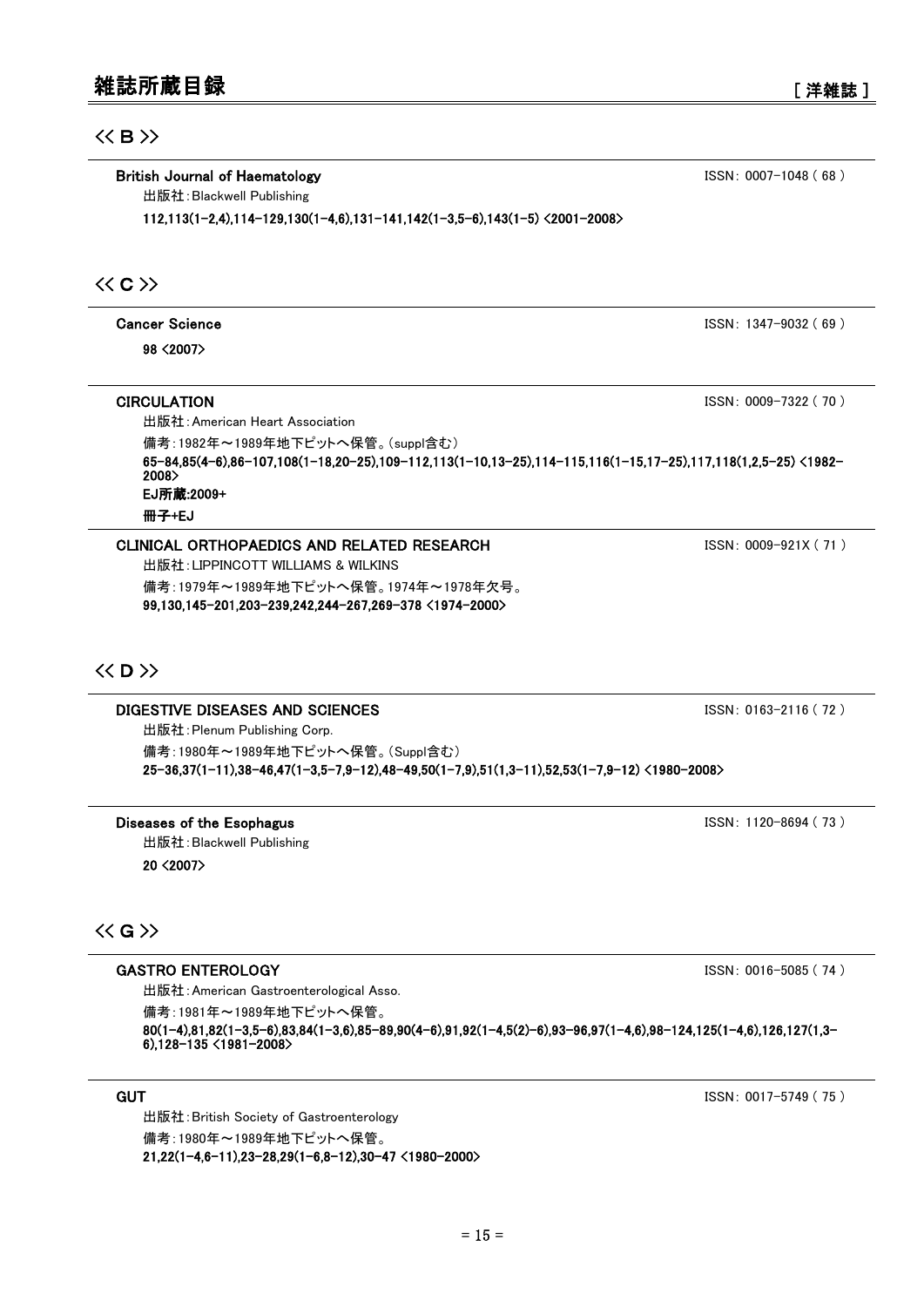## $<<$  B $>$

British Journal of Haematology **ISSN: 0007-1048 (68)** 88 and 10007-1048 (68 )

出版社:Blackwell Publishing

112,113(1-2,4),114-129,130(1-4,6),131-141,142(1-3,5-6),143(1-5) <2001-2008>

## $\langle\langle C\rangle\rangle$

Cancer Science ISSN: 1347-9032 ( 69 ) 98 <2007>

### **CIRCULATION ISSN:** 0009-7322 ( 70 )

65-84,85(4-6),86-107,108(1-18,20-25),109-112,113(1-10,13-25),114-115,116(1-15,17-25),117,118(1,2,5-25) <1982- 2008> 出版社:American Heart Association 備考:1982年~1989年地下ピットへ保管。(suppl含む) 冊子+EJ EJ所蔵:2009+

### CLINICAL ORTHOPAEDICS AND RELATED RESEARCH **ISSN**: 0009-921X (71)

99,130,145-201,203-239,242,244-267,269-378 <1974-2000> 出版社:LIPPINCOTT WILLIAMS & WILKINS 備考:1979年~1989年地下ピットへ保管。1974年~1978年欠号。

## $\langle\langle$  D  $\rangle\rangle$

## DIGESTIVE DISEASES AND SCIENCES **ISSN:** 0163-2116 (72 )

25-36,37(1-11),38-46,47(1-3,5-7,9-12),48-49,50(1-7,9),51(1,3-11),52,53(1-7,9-12) <1980-2008> 出版社:Plenum Publishing Corp. 備考:1980年~1989年地下ピットへ保管。(Suppl含む)

#### Diseases of the Esophagus **ISSN: 1120-8694 (73)** 出版社:Blackwell Publishing

20 <2007>

## $\langle\langle G \rangle\rangle$

#### GASTRO ENTEROLOGY **ISSN:** 0016-5085 (74 )

出版社:American Gastroenterological Asso.

備考:1981年~1989年地下ピットへ保管。

80(1-4),81,82(1-3,5-6),83,84(1-3,6),85-89,90(4-6),91,92(1-4,5(2)-6),93-96,97(1-4,6),98-124,125(1-4,6),126,127(1,3- 6),128-135 <1981-2008>

21,22(1-4,6-11),23-28,29(1-6,8-12),30-47 <1980-2000> 出版社:British Society of Gastroenterology 備考:1980年~1989年地下ピットへ保管。

**GUT** ISSN: 0017-5749 ( 75 )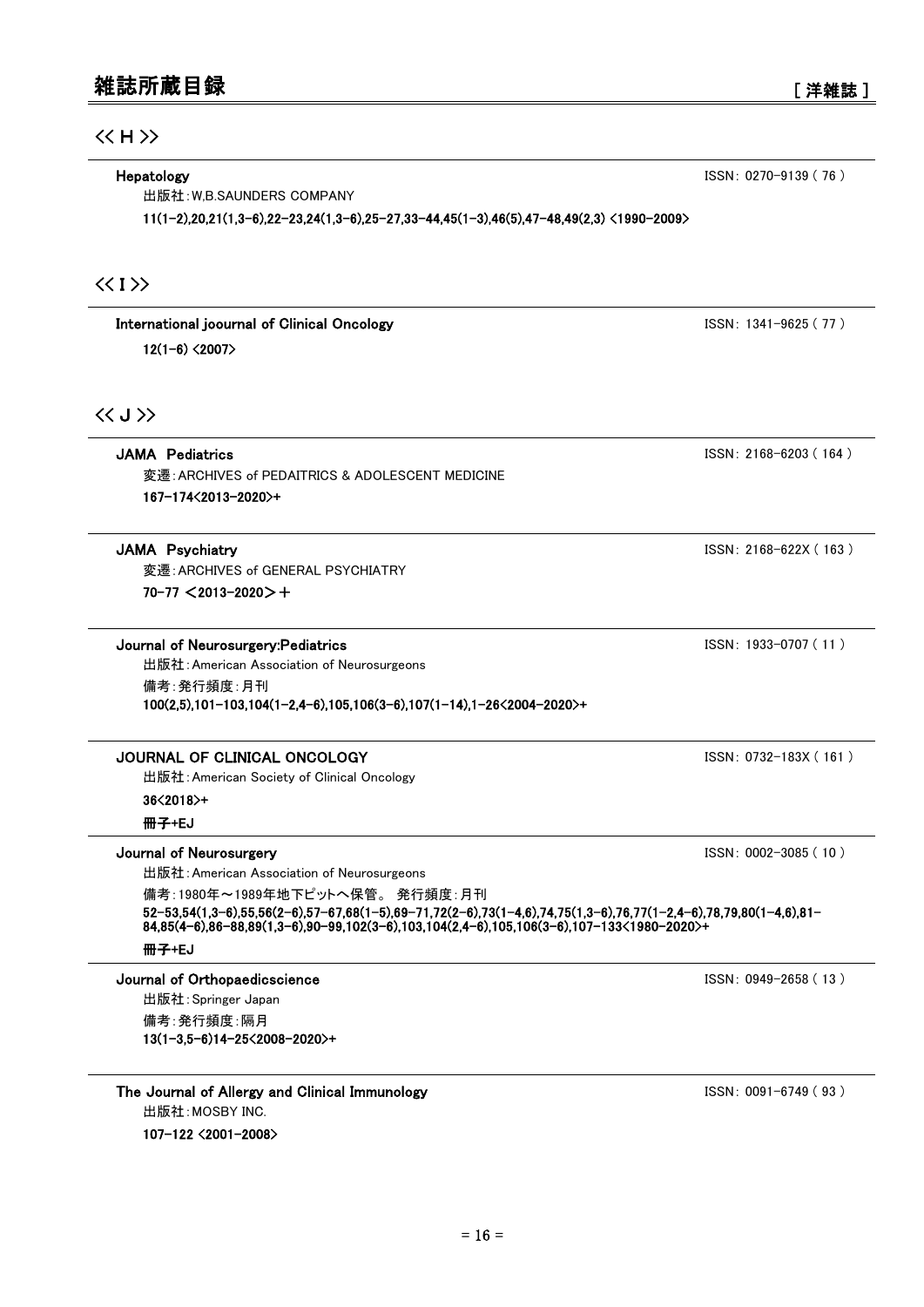出版社:W,B.SAUNDERS COMPANY

11(1-2),20,21(1,3-6),22-23,24(1,3-6),25-27,33-44,45(1-3),46(5),47-48,49(2,3) <1990-2009>

## $\langle \langle I \rangle \rangle$

International joournal of Clinical Oncology **ISSN: 1341-9625 (77)**  $12(1-6)$  <2007>

## $\langle\langle J \rangle\rangle$

167-174<2013-2020>+ 変遷:ARCHIVES of PEDAITRICS & ADOLESCENT MEDICINE

## **JAMA Psychiatry ISSN: 2168-622X ( 163 )**

70-77 <2013-2020>+ 変遷:ARCHIVES of GENERAL PSYCHIATRY

#### Journal of Neurosurgery:Pediatrics ISSN: 1933-0707 ( 11 )

100(2,5),101-103,104(1-2,4-6),105,106(3-6),107(1-14),1-26<2004-2020>+ 出版社:American Association of Neurosurgeons 備考:発行頻度:月刊

## JOURNAL OF CLINICAL ONCOLOGY **ISSN: 0732-183X (161)**

出版社:American Society of Clinical Oncology

36<2018>+

冊子+EJ

### Journal of Neurosurgery ISSN: 0002-3085 ( 10 )

出版社:American Association of Neurosurgeons

52-53,54(1,3-6),55,56(2-6),57-67,68(1-5),69-71,72(2-6),73(1-4,6),74,75(1,3-6),76,77(1-2,4-6),78,79,80(1-4,6),81- 84,85(4-6),86-88,89(1,3-6),90-99,102(3-6),103,104(2,4-6),105,106(3-6),107-133<1980-2020>+ 備考:1980年~1989年地下ピットへ保管。 発行頻度:月刊

### 冊子+EJ

Journal of Orthopaedicscience ISSN: 0949-2658 ( 13 )

13(1-3,5-6)14-25<2008-2020>+ 出版社:Springer Japan 備考:発行頻度:隔月

The Journal of Allergy and Clinical Immunology **ISSN: 0091-6749 (93)** ISSN: 0091-6749 (93) 107-122 <2001-2008> 出版社:MOSBY INC.

JAMA Pediatrics ISSN: 2168-6203 ( 164 )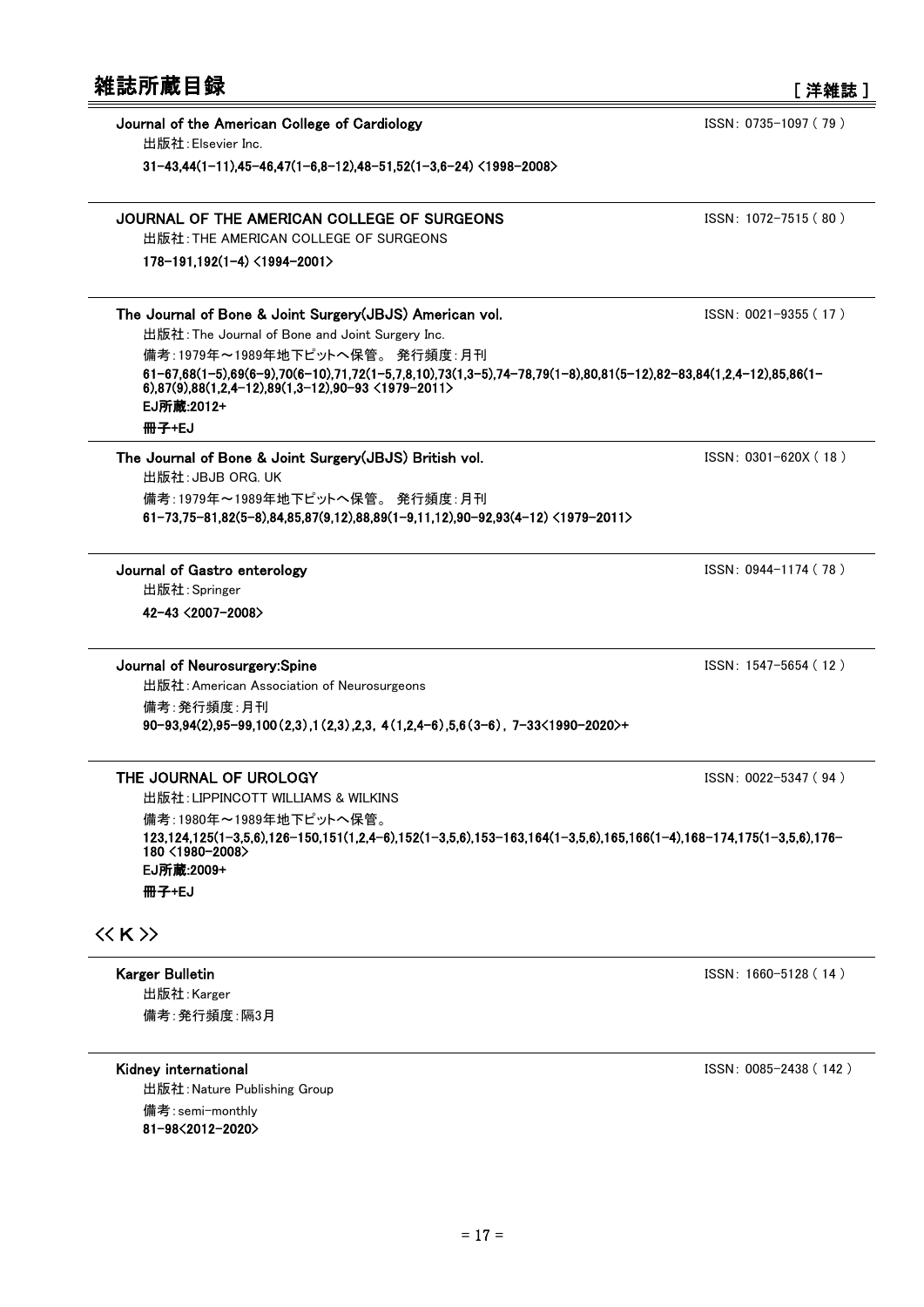| 雑誌所蔵目録                                                                                                                                                                                                                         | 「洋雑誌]                 |
|--------------------------------------------------------------------------------------------------------------------------------------------------------------------------------------------------------------------------------|-----------------------|
| Journal of the American College of Cardiology<br>出版社: Elsevier Inc.                                                                                                                                                            | ISSN: 0735-1097 (79)  |
| $31-43,44(1-11),45-46,47(1-6,8-12),48-51,52(1-3,6-24)$ <1998-2008>                                                                                                                                                             |                       |
| JOURNAL OF THE AMERICAN COLLEGE OF SURGEONS                                                                                                                                                                                    | ISSN: 1072-7515 (80)  |
| 出版社: THE AMERICAN COLLEGE OF SURGEONS<br>$178 - 191,192(1-4) < 1994 - 2001$                                                                                                                                                    |                       |
| The Journal of Bone & Joint Surgery (JBJS) American vol.<br>出版社: The Journal of Bone and Joint Surgery Inc.                                                                                                                    | $ISSN: 0021-9355(17)$ |
| 備考:1979年~1989年地下ピットへ保管。発行頻度:月刊<br>$61-67,68(1-5),69(6-9),70(6-10),71,72(1-5,7,8,10),73(1,3-5),74-78,79(1-8),80,81(5-12),82-83,84(1,2,4-12),85,86(1-5,3,4)$<br>6),87(9),88(1,2,4-12),89(1,3-12),90-93 <1979-2011><br>EJ所蔵:2012+ |                       |
| 冊子+EJ                                                                                                                                                                                                                          |                       |
| The Journal of Bone & Joint Surgery (JBJS) British vol.<br>出版社 : JBJB ORG. UK                                                                                                                                                  | ISSN: 0301-620X (18)  |
| 備考:1979年~1989年地下ピットへ保管。 発行頻度:月刊<br>$61-73.75-81.82(5-8).84.85.87(9.12).88.89(1-9.11.12).90-92.93(4-12) \langle 1979-2011 \rangle$                                                                                              |                       |
| Journal of Gastro enterology                                                                                                                                                                                                   | ISSN: 0944-1174 (78)  |
| 出版社: Springer<br>42-43 <2007-2008>                                                                                                                                                                                             |                       |
| Journal of Neurosurgery:Spine<br>出版社: American Association of Neurosurgeons<br>備考:発行頻度:月刊                                                                                                                                      | ISSN: 1547-5654 (12)  |
| $90-93,94(2),95-99,100(2,3),1(2,3),2,3,4(1,2,4-6),5,6(3-6),7-33(1990-2020)+$                                                                                                                                                   |                       |
| THE JOURNAL OF UROLOGY<br>出版社: LIPPINCOTT WILLIAMS & WILKINS                                                                                                                                                                   | ISSN: 0022-5347 (94)  |
| 備者:1980年~1989年地下ピットへ保管。<br>123,124,125(1-3,5,6),126-150,151(1,2,4-6),152(1-3,5,6),153-163,164(1-3,5,6),165,166(1-4),168-174,175(1-3,5,6),176-<br>180 <1980-2008>                                                               |                       |
| EJ所蔵:2009+<br>冊子+EJ                                                                                                                                                                                                            |                       |
|                                                                                                                                                                                                                                |                       |
| $\langle\langle K\rangle\rangle$                                                                                                                                                                                               |                       |

Karger Bulletin ISSN: 1660-5128 (14)

出版社:Karger 備考:発行頻度:隔3月

Kidney international and the state of the SSN: 0085-2438 (142) 81-98<2012-2020> 出版社:Nature Publishing Group 備考:semi-monthly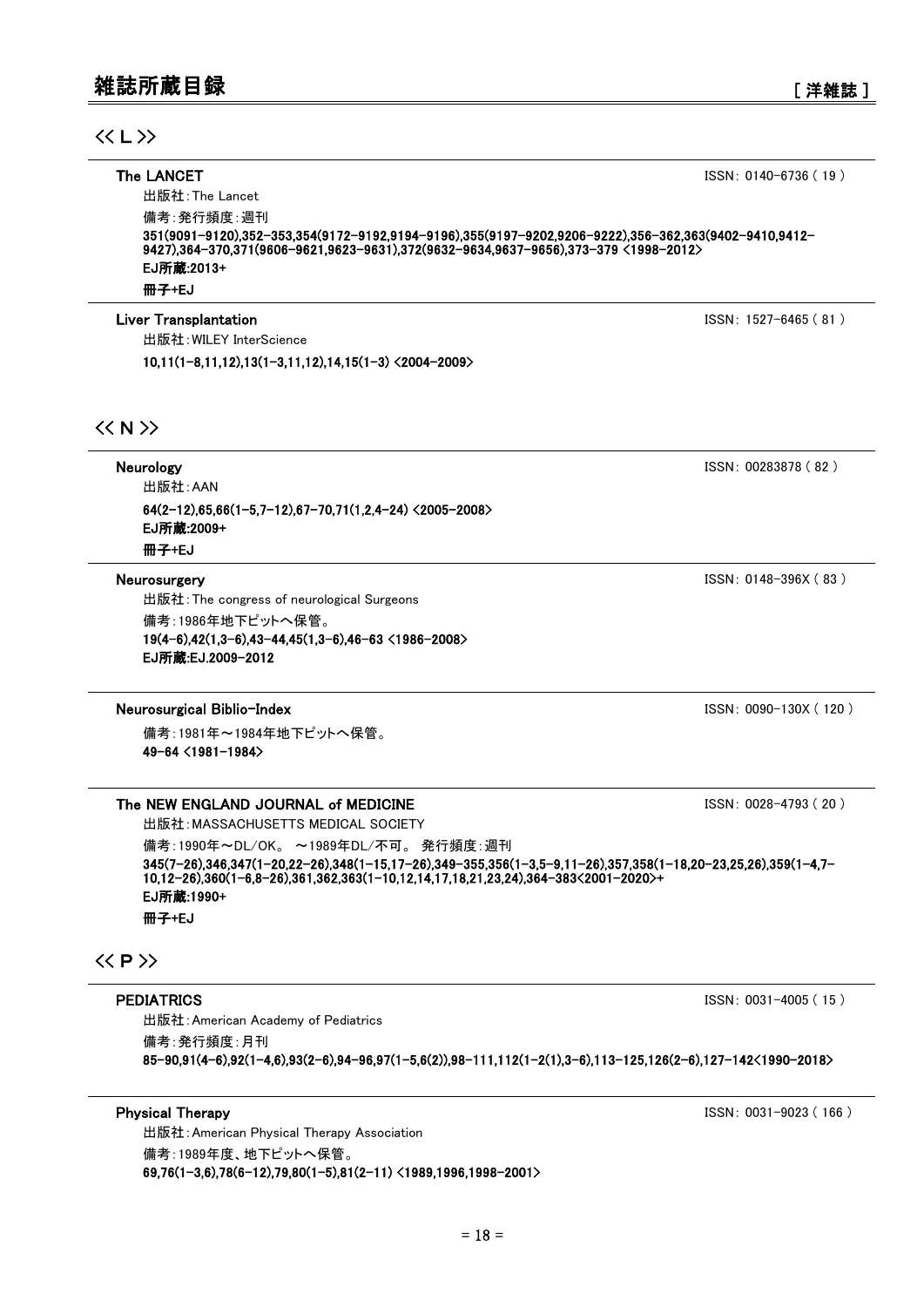351(9091-9120),352-353,354(9172-9192,9194-9196),355(9197-9202,9206-9222),356-362,363(9402-9410,9412-

**Liver Transplantation ISSN: 1527-6465 ( 81 )** 

冊子+EJ EJ所蔵:2013+

出版社:The Lancet 備考:発行頻度:週刊

出版社:WILEY InterScience

10,11(1-8,11,12),13(1-3,11,12),14,15(1-3) <2004-2009>

### $<< N$

Neurology ISSN: 00283878 (82) 64(2-12),65,66(1-5,7-12),67-70,71(1,2,4-24) <2005-2008> 出版社:AAN 冊子+EJ EJ所蔵:2009+

#### Neurosurgery ISSN: 0148-396X (83 )

出版社:The congress of neurological Surgeons

19(4-6),42(1,3-6),43-44,45(1,3-6),46-63 <1986-2008> 備考:1986年地下ピットへ保管。 EJ所蔵:EJ.2009-2012

#### Neurosurgical Biblio-Index ISSN: 0090-130X ( 120 )

49-64 <1981-1984> 備考:1981年~1984年地下ピットへ保管。

#### The NEW ENGLAND JOURNAL of MEDICINE ISSN: 0028-4793 ( 20 )

345(7-26),346,347(1-20,22-26),348(1-15,17-26),349-355,356(1-3,5-9,11-26),357,358(1-18,20-23,25,26),359(1-4,7- 10,12-26),360(1-6,8-26),361,362,363(1-10,12,14,17,18,21,23,24),364-383<2001-2020>+ 出版社:MASSACHUSETTS MEDICAL SOCIETY 備考:1990年~DL/OK。 ~1989年DL/不可。 発行頻度:週刊 冊子+EJ EJ所蔵:1990+

**The LANCET**  $\qquad \qquad$  ISSN: 0140-6736 ( 19 )

9427),364-370,371(9606-9621,9623-9631),372(9632-9634,9637-9656),373-379 <1998-2012>

### $\langle\langle P \rangle\rangle$

#### **PEDIATRICS** ISSN: 0031-4005 (15 )

85-90,91(4-6),92(1-4,6),93(2-6),94-96,97(1-5,6(2)),98-111,112(1-2(1),3-6),113-125,126(2-6),127-142<1990-2018> 出版社:American Academy of Pediatrics 備考:発行頻度:月刊

69,76(1-3,6),78(6-12),79,80(1-5),81(2-11) <1989,1996,1998-2001> 出版社:American Physical Therapy Association 備考:1989年度、地下ピットへ保管。

Physical Therapy **ISSN: 0031-9023 (166 )**